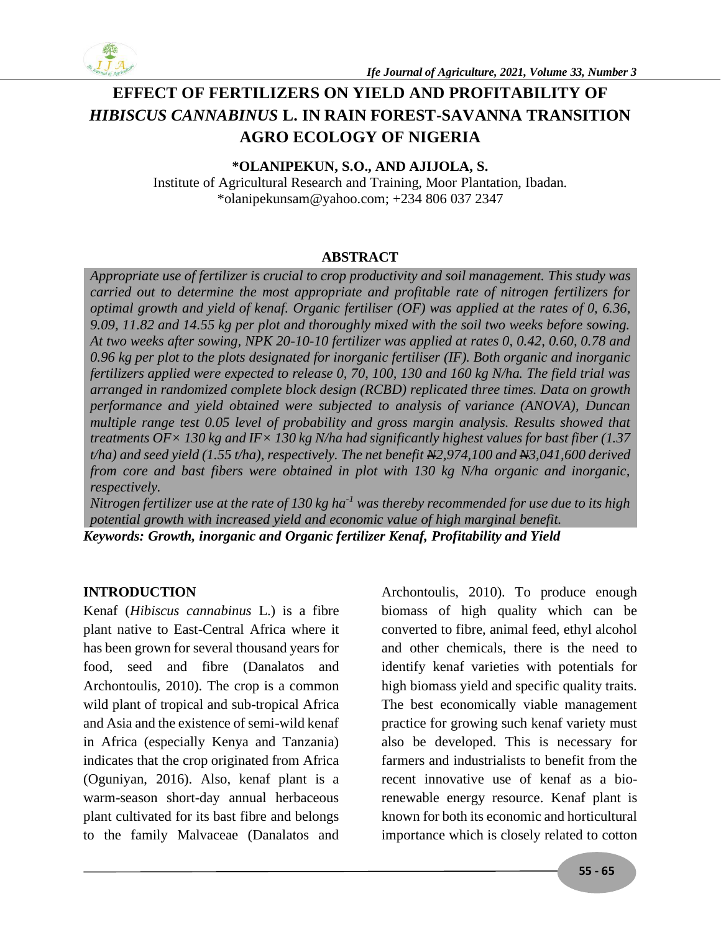

# **EFFECT OF FERTILIZERS ON YIELD AND PROFITABILITY OF**  *HIBISCUS CANNABINUS* **L. IN RAIN FOREST-SAVANNA TRANSITION AGRO ECOLOGY OF NIGERIA**

**\*OLANIPEKUN, S.O., AND AJIJOLA, S.**

Institute of Agricultural Research and Training, Moor Plantation, Ibadan. \*olanipekunsam@yahoo.com; +234 806 037 2347

### **ABSTRACT**

*Appropriate use of fertilizer is crucial to crop productivity and soil management. This study was carried out to determine the most appropriate and profitable rate of nitrogen fertilizers for optimal growth and yield of kenaf. Organic fertiliser (OF) was applied at the rates of 0, 6.36, 9.09, 11.82 and 14.55 kg per plot and thoroughly mixed with the soil two weeks before sowing. At two weeks after sowing, NPK 20-10-10 fertilizer was applied at rates 0, 0.42, 0.60, 0.78 and 0.96 kg per plot to the plots designated for inorganic fertiliser (IF). Both organic and inorganic fertilizers applied were expected to release 0, 70, 100, 130 and 160 kg N/ha. The field trial was arranged in randomized complete block design (RCBD) replicated three times. Data on growth performance and yield obtained were subjected to analysis of variance (ANOVA), Duncan multiple range test 0.05 level of probability and gross margin analysis. Results showed that treatments OF× 130 kg and IF× 130 kg N/ha had significantly highest values for bast fiber (1.37 t/ha) and seed yield (1.55 t/ha), respectively. The net benefit N2,974,100 and N3,041,600 derived from core and bast fibers were obtained in plot with 130 kg N/ha organic and inorganic, respectively.* 

*Nitrogen fertilizer use at the rate of 130 kg ha-1 was thereby recommended for use due to its high potential growth with increased yield and economic value of high marginal benefit. Keywords: Growth, inorganic and Organic fertilizer Kenaf, Profitability and Yield*

# **INTRODUCTION**

Kenaf (*Hibiscus cannabinus* L.) is a fibre plant native to East-Central Africa where it has been grown for several thousand years for food, seed and fibre (Danalatos and Archontoulis, 2010). The crop is a common wild plant of tropical and sub-tropical Africa and Asia and the existence of semi-wild kenaf in Africa (especially Kenya and Tanzania) indicates that the crop originated from Africa (Oguniyan, 2016). Also, kenaf plant is a warm-season short-day annual herbaceous plant cultivated for its bast fibre and belongs to the family Malvaceae (Danalatos and

Archontoulis, 2010). To produce enough biomass of high quality which can be converted to fibre, animal feed, ethyl alcohol and other chemicals, there is the need to identify kenaf varieties with potentials for high biomass yield and specific quality traits. The best economically viable management practice for growing such kenaf variety must also be developed. This is necessary for farmers and industrialists to benefit from the recent innovative use of kenaf as a biorenewable energy resource. Kenaf plant is known for both its economic and horticultural importance which is closely related to cotton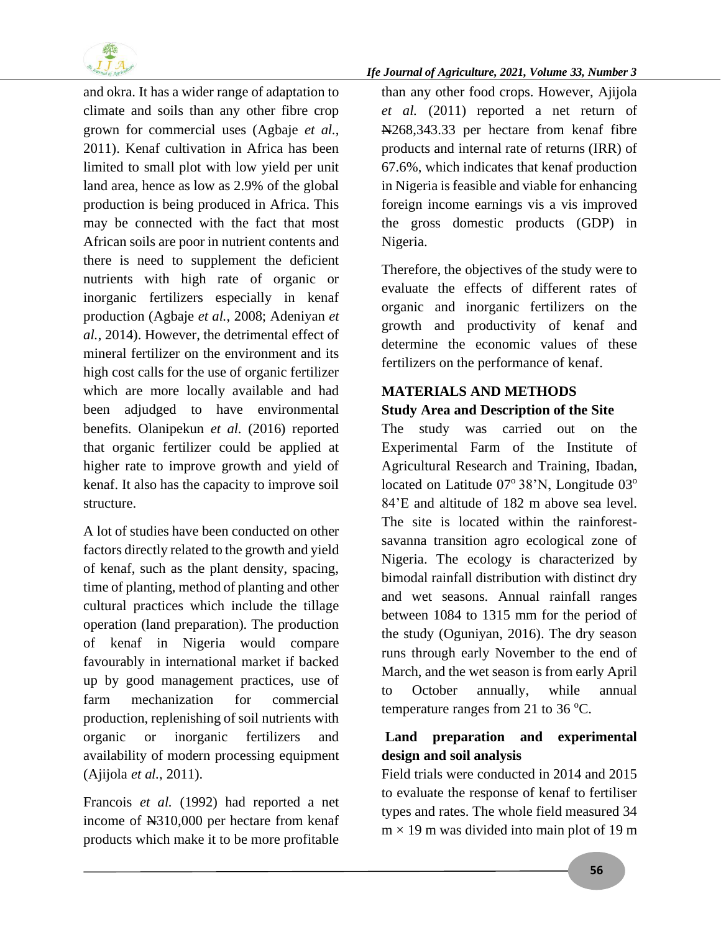

and okra. It has a wider range of adaptation to climate and soils than any other fibre crop grown for commercial uses (Agbaje *et al.*, 2011). Kenaf cultivation in Africa has been limited to small plot with low yield per unit land area, hence as low as 2.9% of the global production is being produced in Africa. This may be connected with the fact that most African soils are poor in nutrient contents and there is need to supplement the deficient nutrients with high rate of organic or inorganic fertilizers especially in kenaf production (Agbaje *et al.*, 2008; Adeniyan *et al.*, 2014). However, the detrimental effect of mineral fertilizer on the environment and its high cost calls for the use of organic fertilizer which are more locally available and had been adjudged to have environmental benefits. Olanipekun *et al*. (2016) reported that organic fertilizer could be applied at higher rate to improve growth and yield of kenaf. It also has the capacity to improve soil structure.

A lot of studies have been conducted on other factors directly related to the growth and yield of kenaf, such as the plant density, spacing, time of planting, method of planting and other cultural practices which include the tillage operation (land preparation). The production of kenaf in Nigeria would compare favourably in international market if backed up by good management practices, use of farm mechanization for commercial production, replenishing of soil nutrients with organic or inorganic fertilizers and availability of modern processing equipment (Ajijola *et al.*, 2011).

Francois *et al.* (1992) had reported a net income of N310,000 per hectare from kenaf products which make it to be more profitable

#### *Ife Journal of Agriculture, 2021, Volume 33, Number 3*

than any other food crops. However, Ajijola *et al.* (2011) reported a net return of N268,343.33 per hectare from kenaf fibre products and internal rate of returns (IRR) of 67.6%, which indicates that kenaf production in Nigeria is feasible and viable for enhancing foreign income earnings vis a vis improved the gross domestic products (GDP) in Nigeria.

Therefore, the objectives of the study were to evaluate the effects of different rates of organic and inorganic fertilizers on the growth and productivity of kenaf and determine the economic values of these fertilizers on the performance of kenaf.

# **MATERIALS AND METHODS Study Area and Description of the Site**

The study was carried out on the Experimental Farm of the Institute of Agricultural Research and Training, Ibadan, located on Latitude  $07^{\circ}$  38'N, Longitude  $03^{\circ}$ 84'E and altitude of 182 m above sea level. The site is located within the rainforestsavanna transition agro ecological zone of Nigeria. The ecology is characterized by bimodal rainfall distribution with distinct dry and wet seasons. Annual rainfall ranges between 1084 to 1315 mm for the period of the study (Oguniyan, 2016). The dry season runs through early November to the end of March, and the wet season is from early April to October annually, while annual temperature ranges from 21 to 36  $^{\circ}$ C.

### **Land preparation and experimental design and soil analysis**

Field trials were conducted in 2014 and 2015 to evaluate the response of kenaf to fertiliser types and rates. The whole field measured 34  $m \times 19$  m was divided into main plot of 19 m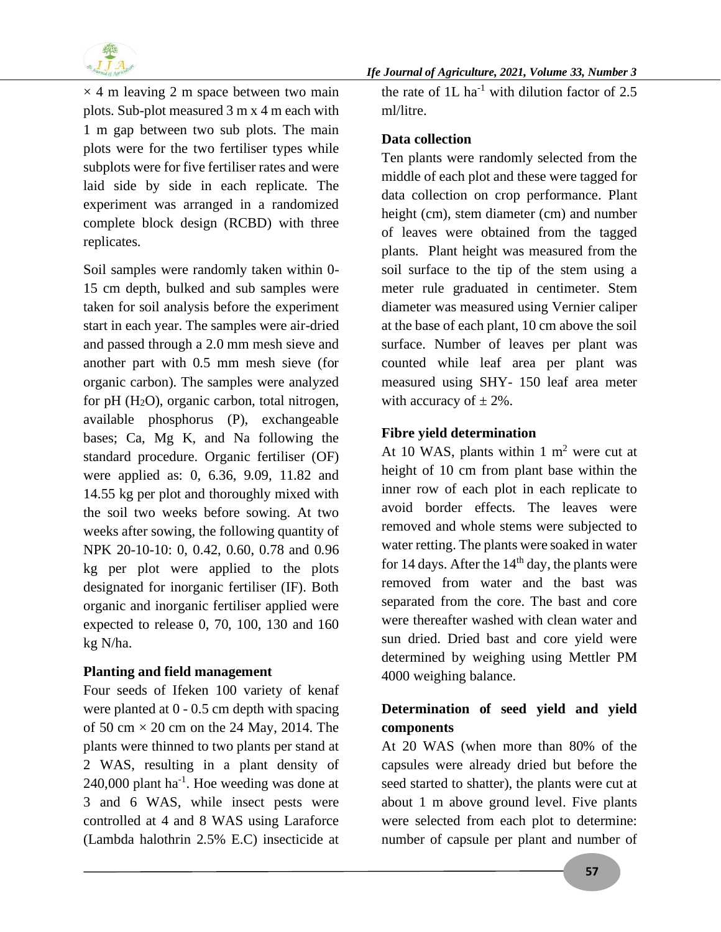

 $\times$  4 m leaving 2 m space between two main plots. Sub-plot measured 3 m x 4 m each with 1 m gap between two sub plots. The main plots were for the two fertiliser types while subplots were for five fertiliser rates and were laid side by side in each replicate. The experiment was arranged in a randomized complete block design (RCBD) with three replicates.

Soil samples were randomly taken within 0- 15 cm depth, bulked and sub samples were taken for soil analysis before the experiment start in each year. The samples were air-dried and passed through a 2.0 mm mesh sieve and another part with 0.5 mm mesh sieve (for organic carbon). The samples were analyzed for pH  $(H<sub>2</sub>O)$ , organic carbon, total nitrogen, available phosphorus (P), exchangeable bases; Ca, Mg K, and Na following the standard procedure. Organic fertiliser (OF) were applied as: 0, 6.36, 9.09, 11.82 and 14.55 kg per plot and thoroughly mixed with the soil two weeks before sowing. At two weeks after sowing, the following quantity of NPK 20-10-10: 0, 0.42, 0.60, 0.78 and 0.96 kg per plot were applied to the plots designated for inorganic fertiliser (IF). Both organic and inorganic fertiliser applied were expected to release 0, 70, 100, 130 and 160 kg N/ha.

#### **Planting and field management**

Four seeds of Ifeken 100 variety of kenaf were planted at 0 - 0.5 cm depth with spacing of 50 cm  $\times$  20 cm on the 24 May, 2014. The plants were thinned to two plants per stand at 2 WAS, resulting in a plant density of  $240,000$  plant ha<sup>-1</sup>. Hoe weeding was done at 3 and 6 WAS, while insect pests were controlled at 4 and 8 WAS using Laraforce (Lambda halothrin 2.5% E.C) insecticide at

the rate of  $1L$  ha<sup>-1</sup> with dilution factor of 2.5 ml/litre.

#### **Data collection**

Ten plants were randomly selected from the middle of each plot and these were tagged for data collection on crop performance. Plant height (cm), stem diameter (cm) and number of leaves were obtained from the tagged plants. Plant height was measured from the soil surface to the tip of the stem using a meter rule graduated in centimeter. Stem diameter was measured using Vernier caliper at the base of each plant, 10 cm above the soil surface. Number of leaves per plant was counted while leaf area per plant was measured using SHY- 150 leaf area meter with accuracy of  $\pm$  2%.

### **Fibre yield determination**

At 10 WAS, plants within 1  $m<sup>2</sup>$  were cut at height of 10 cm from plant base within the inner row of each plot in each replicate to avoid border effects. The leaves were removed and whole stems were subjected to water retting. The plants were soaked in water for 14 days. After the  $14<sup>th</sup>$  day, the plants were removed from water and the bast was separated from the core. The bast and core were thereafter washed with clean water and sun dried. Dried bast and core yield were determined by weighing using Mettler PM 4000 weighing balance.

# **Determination of seed yield and yield components**

At 20 WAS (when more than 80% of the capsules were already dried but before the seed started to shatter), the plants were cut at about 1 m above ground level. Five plants were selected from each plot to determine: number of capsule per plant and number of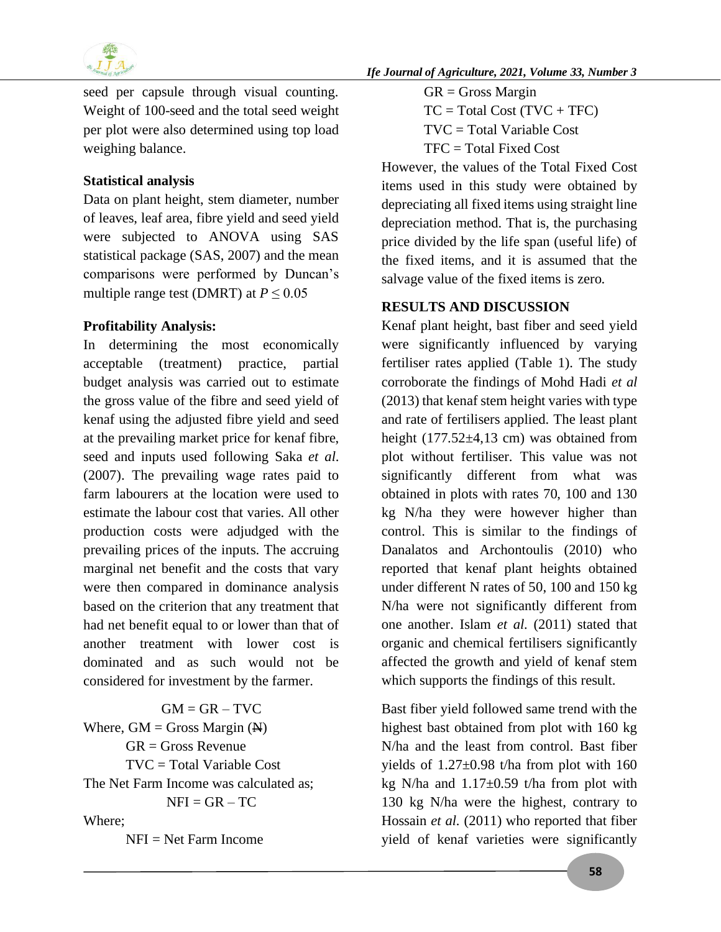

seed per capsule through visual counting. Weight of 100-seed and the total seed weight per plot were also determined using top load weighing balance.

## **Statistical analysis**

Data on plant height, stem diameter, number of leaves, leaf area, fibre yield and seed yield were subjected to ANOVA using SAS statistical package (SAS, 2007) and the mean comparisons were performed by Duncan's multiple range test (DMRT) at  $P \le 0.05$ 

### **Profitability Analysis:**

In determining the most economically acceptable (treatment) practice, partial budget analysis was carried out to estimate the gross value of the fibre and seed yield of kenaf using the adjusted fibre yield and seed at the prevailing market price for kenaf fibre, seed and inputs used following Saka *et al*. (2007). The prevailing wage rates paid to farm labourers at the location were used to estimate the labour cost that varies. All other production costs were adjudged with the prevailing prices of the inputs. The accruing marginal net benefit and the costs that vary were then compared in dominance analysis based on the criterion that any treatment that had net benefit equal to or lower than that of another treatment with lower cost is dominated and as such would not be considered for investment by the farmer.

 $GM = GR - TVC$ Where,  $GM =$  Gross Margin  $(\mathbf{H})$  $GR = Gross$  Revenue TVC = Total Variable Cost The Net Farm Income was calculated as;  $NFI = GR - TC$ Where;

 $NFI = Net Farm Income$ 

 $GR = Gross$  Margin  $TC = Total Cost (TVC + TFC)$ TVC = Total Variable Cost TFC = Total Fixed Cost

However, the values of the Total Fixed Cost items used in this study were obtained by depreciating all fixed items using straight line depreciation method. That is, the purchasing price divided by the life span (useful life) of the fixed items, and it is assumed that the salvage value of the fixed items is zero.

# **RESULTS AND DISCUSSION**

Kenaf plant height, bast fiber and seed yield were significantly influenced by varying fertiliser rates applied (Table 1). The study corroborate the findings of Mohd Hadi *et al* (2013) that kenaf stem height varies with type and rate of fertilisers applied. The least plant height  $(177.52 \pm 4.13$  cm) was obtained from plot without fertiliser. This value was not significantly different from what was obtained in plots with rates 70, 100 and 130 kg N/ha they were however higher than control. This is similar to the findings of Danalatos and Archontoulis (2010) who reported that kenaf plant heights obtained under different N rates of 50, 100 and 150 kg N/ha were not significantly different from one another. Islam *et al.* (2011) stated that organic and chemical fertilisers significantly affected the growth and yield of kenaf stem which supports the findings of this result.

Bast fiber yield followed same trend with the highest bast obtained from plot with 160 kg N/ha and the least from control. Bast fiber yields of  $1.27 \pm 0.98$  t/ha from plot with 160 kg N/ha and  $1.17\pm0.59$  t/ha from plot with 130 kg N/ha were the highest, contrary to Hossain *et al.* (2011) who reported that fiber yield of kenaf varieties were significantly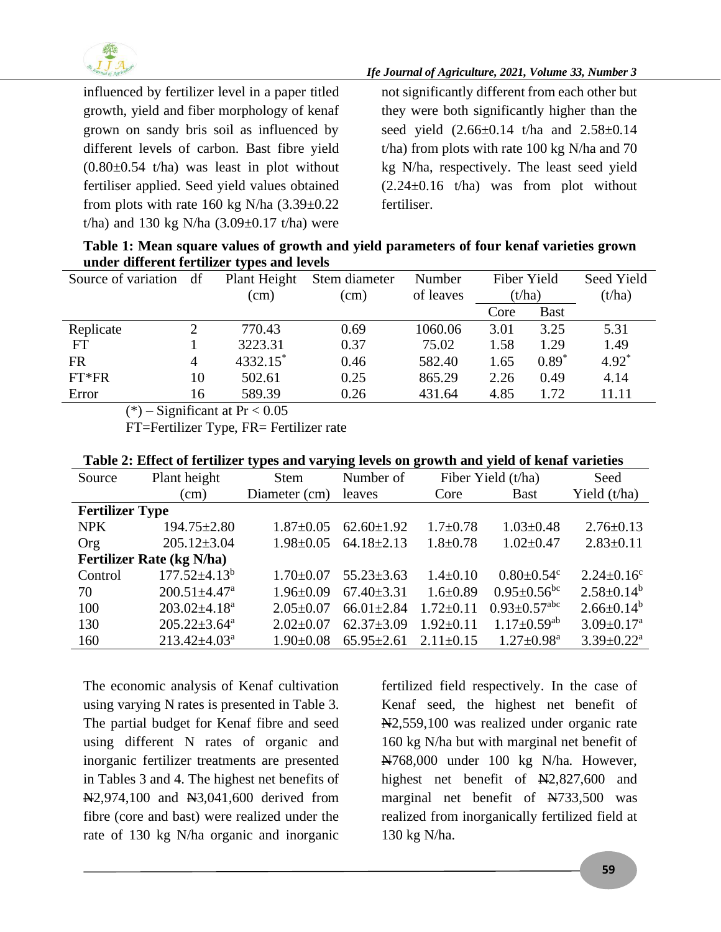

*Ife Journal of Agriculture, 2021, Volume 33, Number 3*

influenced by fertilizer level in a paper titled growth, yield and fiber morphology of kenaf grown on sandy bris soil as influenced by different levels of carbon. Bast fibre yield  $(0.80\pm0.54)$  t/ha) was least in plot without fertiliser applied. Seed yield values obtained from plots with rate 160 kg N/ha  $(3.39\pm0.22)$ t/ha) and 130 kg N/ha  $(3.09\pm0.17)$  t/ha) were

not significantly different from each other but they were both significantly higher than the seed yield  $(2.66\pm0.14 \text{ t/ha and } 2.58\pm0.14 \text{ t/ha})$ t/ha) from plots with rate 100 kg N/ha and 70 kg N/ha, respectively. The least seed yield  $(2.24\pm0.16)$  t/ha) was from plot without fertiliser.

| Table 1: Mean square values of growth and yield parameters of four kenaf varieties grown |
|------------------------------------------------------------------------------------------|
| under different fertilizer types and levels                                              |

| Source of variation | df            | Plant Height           | Stem diameter | Number    | Fiber Yield |             | Seed Yield |
|---------------------|---------------|------------------------|---------------|-----------|-------------|-------------|------------|
|                     |               | (cm)                   | (cm)          | of leaves | (t/ha)      |             | (t/ha)     |
|                     |               |                        |               |           | Core        | <b>Bast</b> |            |
| Replicate           | $\mathcal{D}$ | 770.43                 | 0.69          | 1060.06   | 3.01        | 3.25        | 5.31       |
| <b>FT</b>           |               | 3223.31                | 0.37          | 75.02     | 1.58        | 1.29        | 1.49       |
| FR                  | 4             | $4332.15$ <sup>*</sup> | 0.46          | 582.40    | 1.65        | $0.89*$     | $4.92*$    |
| $FT*FR$             | 10            | 502.61                 | 0.25          | 865.29    | 2.26        | 0.49        | 4.14       |
| Error               | 16            | 589.39                 | 0.26          | 431.64    | 4.85        | 1.72        | 11.11      |

 $(*)$  – Significant at Pr < 0.05

FT=Fertilizer Type, FR= Fertilizer rate

#### **Table 2: Effect of fertilizer types and varying levels on growth and yield of kenaf varieties**

| Source                 | Plant height                     | <b>Stem</b>     | Number of        |                 | Fiber Yield (t/ha)             | Seed                         |
|------------------------|----------------------------------|-----------------|------------------|-----------------|--------------------------------|------------------------------|
|                        | (cm)                             | Diameter (cm)   | leaves           | Core            | <b>Bast</b>                    | Yield (t/ha)                 |
| <b>Fertilizer Type</b> |                                  |                 |                  |                 |                                |                              |
| <b>NPK</b>             | $194.75 \pm 2.80$                | $1.87 \pm 0.05$ | $62.60 \pm 1.92$ | $1.7 \pm 0.78$  | $1.03 \pm 0.48$                | $2.76 \pm 0.13$              |
| Org                    | $205.12 \pm 3.04$                | $1.98 \pm 0.05$ | $64.18 \pm 2.13$ | $1.8 \pm 0.78$  | $1.02 \pm 0.47$                | $2.83 \pm 0.11$              |
|                        | <b>Fertilizer Rate (kg N/ha)</b> |                 |                  |                 |                                |                              |
| Control                | $177.52 \pm 4.13^b$              | $1.70 \pm 0.07$ | $55.23 \pm 3.63$ | $1.4 \pm 0.10$  | $0.80 \pm 0.54$ <sup>c</sup>   | $2.24 \pm 0.16^c$            |
| 70                     | $200.51 \pm 4.47$ <sup>a</sup>   | $1.96 \pm 0.09$ | $67.40 \pm 3.31$ | $1.6 \pm 0.89$  | $0.95 \pm 0.56$ <sup>bc</sup>  | $2.58 \pm 0.14^b$            |
| 100                    | $203.02\pm4.18^a$                | $2.05 \pm 0.07$ | $66.01 \pm 2.84$ | $1.72 \pm 0.11$ | $0.93 \pm 0.57$ <sup>abc</sup> | $2.66 \pm 0.14^b$            |
| 130                    | $205.22 \pm 3.64^a$              | $2.02 \pm 0.07$ | $62.37 \pm 3.09$ | $1.92 \pm 0.11$ | $1.17 \pm 0.59$ <sup>ab</sup>  | $3.09 \pm 0.17$ <sup>a</sup> |
| 160                    | $213.42 \pm 4.03^a$              | $1.90 \pm 0.08$ | $65.95 \pm 2.61$ | $2.11 \pm 0.15$ | $1.27 \pm 0.98^{\text{a}}$     | $3.39 \pm 0.22$ <sup>a</sup> |

The economic analysis of Kenaf cultivation using varying N rates is presented in Table 3. The partial budget for Kenaf fibre and seed using different N rates of organic and inorganic fertilizer treatments are presented in Tables 3 and 4. The highest net benefits of N2,974,100 and N3,041,600 derived from fibre (core and bast) were realized under the rate of 130 kg N/ha organic and inorganic

fertilized field respectively. In the case of Kenaf seed, the highest net benefit of N<sub>2</sub>,559,100 was realized under organic rate 160 kg N/ha but with marginal net benefit of N<sub>768</sub>,000 under 100 kg N/ha. However, highest net benefit of  $N2,827,600$  and marginal net benefit of N733,500 was realized from inorganically fertilized field at 130 kg N/ha.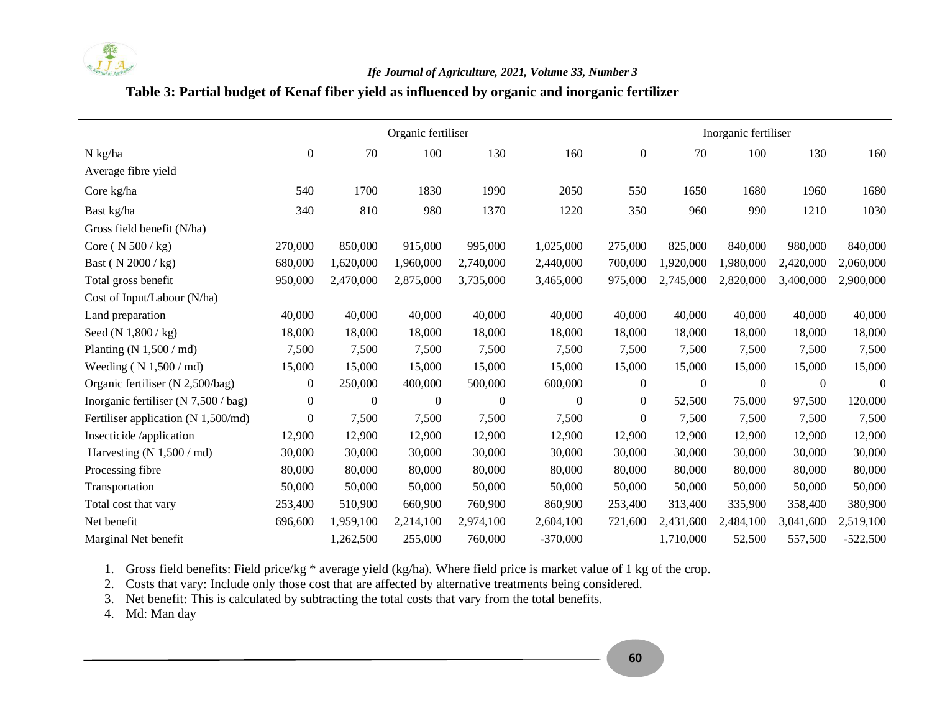

#### **Table 3: Partial budget of Kenaf fiber yield as influenced by organic and inorganic fertilizer**

|                                        | Organic fertiliser |                  |              |                  |                  |                | Inorganic fertiliser |                |              |            |  |
|----------------------------------------|--------------------|------------------|--------------|------------------|------------------|----------------|----------------------|----------------|--------------|------------|--|
| $N$ kg/ha                              | $\boldsymbol{0}$   | 70               | 100          | 130              | 160              | $\mathbf{0}$   | 70                   | 100            | 130          | 160        |  |
| Average fibre yield                    |                    |                  |              |                  |                  |                |                      |                |              |            |  |
| Core kg/ha                             | 540                | 1700             | 1830         | 1990             | 2050             | 550            | 1650                 | 1680           | 1960         | 1680       |  |
| Bast kg/ha                             | 340                | 810              | 980          | 1370             | 1220             | 350            | 960                  | 990            | 1210         | 1030       |  |
| Gross field benefit (N/ha)             |                    |                  |              |                  |                  |                |                      |                |              |            |  |
| Core ( $N 500/kg$ )                    | 270,000            | 850,000          | 915,000      | 995,000          | 1,025,000        | 275,000        | 825,000              | 840,000        | 980,000      | 840,000    |  |
| Bast (N 2000 / kg)                     | 680,000            | 1,620,000        | 1,960,000    | 2,740,000        | 2,440,000        | 700,000        | 1,920,000            | 1,980,000      | 2,420,000    | 2,060,000  |  |
| Total gross benefit                    | 950,000            | 2,470,000        | 2,875,000    | 3,735,000        | 3,465,000        | 975,000        | 2,745,000            | 2,820,000      | 3,400,000    | 2,900,000  |  |
| Cost of Input/Labour (N/ha)            |                    |                  |              |                  |                  |                |                      |                |              |            |  |
| Land preparation                       | 40,000             | 40,000           | 40,000       | 40,000           | 40,000           | 40,000         | 40,000               | 40,000         | 40,000       | 40,000     |  |
| Seed (N $1,800 / kg$ )                 | 18,000             | 18,000           | 18,000       | 18,000           | 18,000           | 18,000         | 18,000               | 18,000         | 18,000       | 18,000     |  |
| Planting (N $1,500$ / md)              | 7,500              | 7,500            | 7,500        | 7,500            | 7,500            | 7,500          | 7,500                | 7,500          | 7,500        | 7,500      |  |
| Weeding $(N 1,500 / md)$               | 15,000             | 15,000           | 15,000       | 15,000           | 15,000           | 15,000         | 15,000               | 15,000         | 15,000       | 15,000     |  |
| Organic fertiliser (N 2,500/bag)       | $\boldsymbol{0}$   | 250,000          | 400,000      | 500,000          | 600,000          | $\overline{0}$ | $\overline{0}$       | $\overline{0}$ | $\mathbf{0}$ | $\theta$   |  |
| Inorganic fertiliser (N $7,500 /$ bag) | $\mathbf{0}$       | $\boldsymbol{0}$ | $\mathbf{0}$ | $\boldsymbol{0}$ | $\boldsymbol{0}$ | $\overline{0}$ | 52,500               | 75,000         | 97,500       | 120,000    |  |
| Fertiliser application (N 1,500/md)    | $\boldsymbol{0}$   | 7,500            | 7,500        | 7,500            | 7,500            | $\overline{0}$ | 7,500                | 7,500          | 7,500        | 7,500      |  |
| Insecticide /application               | 12,900             | 12,900           | 12,900       | 12,900           | 12,900           | 12,900         | 12,900               | 12,900         | 12,900       | 12,900     |  |
| Harvesting (N $1,500$ / md)            | 30,000             | 30,000           | 30,000       | 30,000           | 30,000           | 30,000         | 30,000               | 30,000         | 30,000       | 30,000     |  |
| Processing fibre                       | 80,000             | 80,000           | 80,000       | 80,000           | 80,000           | 80,000         | 80,000               | 80,000         | 80,000       | 80,000     |  |
| Transportation                         | 50,000             | 50,000           | 50,000       | 50,000           | 50,000           | 50,000         | 50,000               | 50,000         | 50,000       | 50,000     |  |
| Total cost that vary                   | 253,400            | 510,900          | 660,900      | 760,900          | 860,900          | 253,400        | 313,400              | 335,900        | 358,400      | 380,900    |  |
| Net benefit                            | 696,600            | 1,959,100        | 2,214,100    | 2,974,100        | 2,604,100        | 721,600        | 2,431,600            | 2,484,100      | 3,041,600    | 2,519,100  |  |
| Marginal Net benefit                   |                    | 1,262,500        | 255,000      | 760,000          | $-370,000$       |                | 1,710,000            | 52,500         | 557,500      | $-522,500$ |  |

1. Gross field benefits: Field price/kg \* average yield (kg/ha). Where field price is market value of 1 kg of the crop.

2. Costs that vary: Include only those cost that are affected by alternative treatments being considered.

3. Net benefit: This is calculated by subtracting the total costs that vary from the total benefits.

4. Md: Man day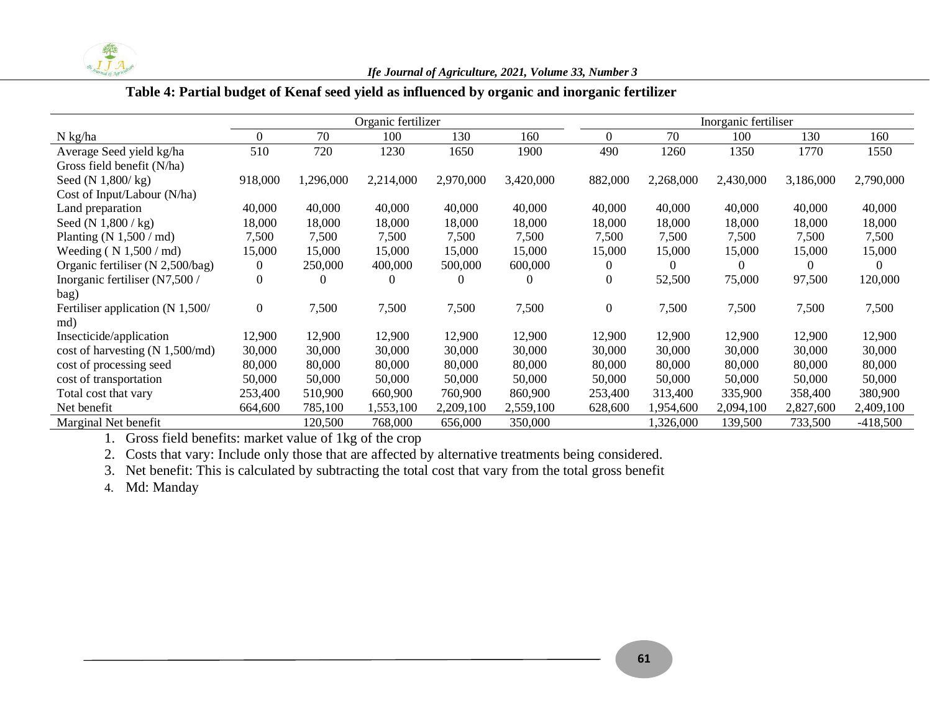

#### *Ife Journal of Agriculture, 2021, Volume 33, Number 3*

## **Table 4: Partial budget of Kenaf seed yield as influenced by organic and inorganic fertilizer**

|                                      | Organic fertilizer |           |           |           |           |                  | Inorganic fertiliser |           |           |            |  |  |
|--------------------------------------|--------------------|-----------|-----------|-----------|-----------|------------------|----------------------|-----------|-----------|------------|--|--|
| N kg/ha                              | 0                  | 70        | 100       | 130       | 160       | $\overline{0}$   | 70                   | 100       | 130       | 160        |  |  |
| Average Seed yield kg/ha             | 510                | 720       | 1230      | 1650      | 1900      | 490              | 1260                 | 1350      | 1770      | 1550       |  |  |
| Gross field benefit (N/ha)           |                    |           |           |           |           |                  |                      |           |           |            |  |  |
| Seed $(N 1,800/kg)$                  | 918,000            | 1,296,000 | 2,214,000 | 2,970,000 | 3,420,000 | 882,000          | 2,268,000            | 2,430,000 | 3,186,000 | 2,790,000  |  |  |
| Cost of Input/Labour (N/ha)          |                    |           |           |           |           |                  |                      |           |           |            |  |  |
| Land preparation                     | 40,000             | 40,000    | 40,000    | 40,000    | 40,000    | 40,000           | 40,000               | 40,000    | 40,000    | 40,000     |  |  |
| Seed $(N 1,800 / kg)$                | 18,000             | 18,000    | 18,000    | 18,000    | 18,000    | 18,000           | 18,000               | 18,000    | 18,000    | 18,000     |  |  |
| Planting $(N 1,500 / \text{md})$     | 7,500              | 7,500     | 7,500     | 7,500     | 7,500     | 7,500            | 7,500                | 7,500     | 7,500     | 7,500      |  |  |
| Weeding ( $N$ 1,500 / md)            | 15,000             | 15,000    | 15,000    | 15,000    | 15,000    | 15,000           | 15,000               | 15,000    | 15,000    | 15,000     |  |  |
| Organic fertiliser (N 2,500/bag)     | $\theta$           | 250,000   | 400,000   | 500,000   | 600,000   | 0                | $\theta$             | $\Omega$  | $\theta$  | $\theta$   |  |  |
| Inorganic fertiliser (N7,500 /       | 0                  |           |           |           | $\Omega$  | $\boldsymbol{0}$ | 52,500               | 75,000    | 97,500    | 120,000    |  |  |
| bag)                                 |                    |           |           |           |           |                  |                      |           |           |            |  |  |
| Fertiliser application (N 1,500/     | $\Omega$           | 7,500     | 7,500     | 7,500     | 7,500     | $\boldsymbol{0}$ | 7,500                | 7,500     | 7,500     | 7,500      |  |  |
| md)                                  |                    |           |           |           |           |                  |                      |           |           |            |  |  |
| Insecticide/application              | 12,900             | 12,900    | 12,900    | 12,900    | 12,900    | 12,900           | 12,900               | 12,900    | 12,900    | 12,900     |  |  |
| cost of harvesting $(N \ 1,500/mol)$ | 30,000             | 30,000    | 30,000    | 30,000    | 30,000    | 30,000           | 30,000               | 30,000    | 30,000    | 30,000     |  |  |
| cost of processing seed              | 80,000             | 80,000    | 80,000    | 80,000    | 80,000    | 80,000           | 80,000               | 80,000    | 80,000    | 80,000     |  |  |
| cost of transportation               | 50,000             | 50,000    | 50,000    | 50,000    | 50,000    | 50,000           | 50,000               | 50,000    | 50,000    | 50,000     |  |  |
| Total cost that vary                 | 253,400            | 510,900   | 660,900   | 760,900   | 860,900   | 253,400          | 313,400              | 335,900   | 358,400   | 380,900    |  |  |
| Net benefit                          | 664,600            | 785,100   | 1,553,100 | 2,209,100 | 2,559,100 | 628,600          | 1,954,600            | 2,094,100 | 2,827,600 | 2,409,100  |  |  |
| Marginal Net benefit                 |                    | 120,500   | 768,000   | 656,000   | 350,000   |                  | 326,000,             | 139,500   | 733,500   | $-418,500$ |  |  |

1. Gross field benefits: market value of 1kg of the crop

2. Costs that vary: Include only those that are affected by alternative treatments being considered.

3. Net benefit: This is calculated by subtracting the total cost that vary from the total gross benefit

4. Md: Manday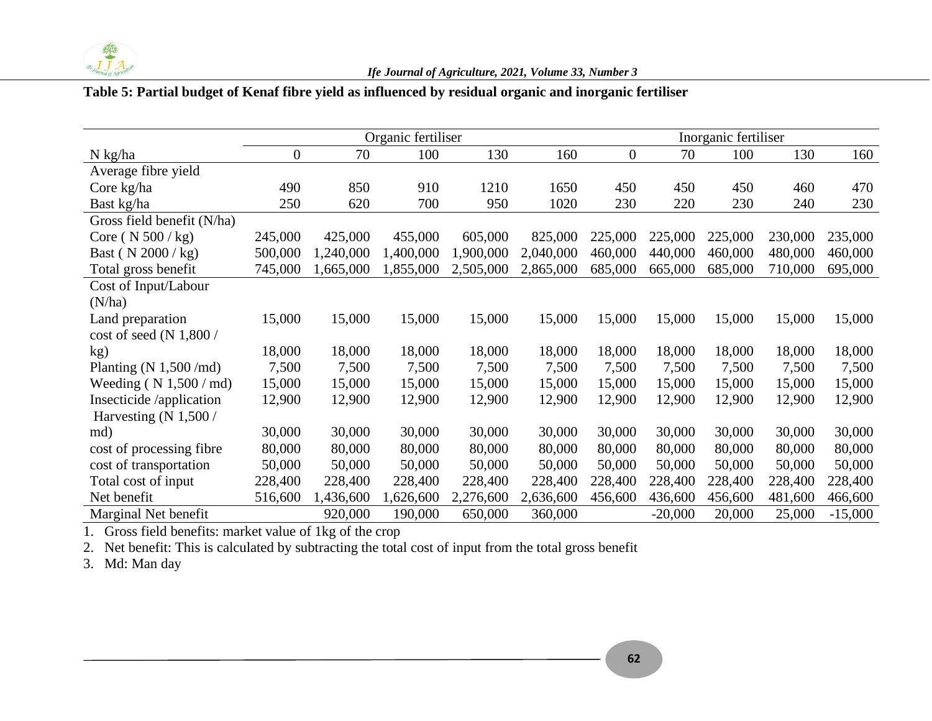

#### **Table 5: Partial budget of Kenaf fibre yield as influenced by residual organic and inorganic fertiliser**

|                            |                  |           | Organic fertiliser |           |           | Inorganic fertiliser |           |         |         |           |  |
|----------------------------|------------------|-----------|--------------------|-----------|-----------|----------------------|-----------|---------|---------|-----------|--|
| N kg/ha                    | $\boldsymbol{0}$ | 70        | 100                | 130       | 160       | $\boldsymbol{0}$     | 70        | 100     | 130     | 160       |  |
| Average fibre yield        |                  |           |                    |           |           |                      |           |         |         |           |  |
| Core kg/ha                 | 490              | 850       | 910                | 1210      | 1650      | 450                  | 450       | 450     | 460     | 470       |  |
| Bast kg/ha                 | 250              | 620       | 700                | 950       | 1020      | 230                  | 220       | 230     | 240     | 230       |  |
| Gross field benefit (N/ha) |                  |           |                    |           |           |                      |           |         |         |           |  |
| Core ( $N 500 / kg$ )      | 245,000          | 425,000   | 455,000            | 605,000   | 825,000   | 225,000              | 225,000   | 225,000 | 230,000 | 235,000   |  |
| Bast ( $N \, 2000 / kg$ )  | 500,000          | 1,240,000 | 1,400,000          | 1,900,000 | 2,040,000 | 460,000              | 440,000   | 460,000 | 480,000 | 460,000   |  |
| Total gross benefit        | 745,000          | 1,665,000 | 1,855,000          | 2,505,000 | 2,865,000 | 685,000              | 665,000   | 685,000 | 710,000 | 695,000   |  |
| Cost of Input/Labour       |                  |           |                    |           |           |                      |           |         |         |           |  |
| (N/ha)                     |                  |           |                    |           |           |                      |           |         |         |           |  |
| Land preparation           | 15,000           | 15,000    | 15,000             | 15,000    | 15,000    | 15,000               | 15,000    | 15,000  | 15,000  | 15,000    |  |
| cost of seed (N $1,800/$   |                  |           |                    |           |           |                      |           |         |         |           |  |
| kg)                        | 18,000           | 18,000    | 18,000             | 18,000    | 18,000    | 18,000               | 18,000    | 18,000  | 18,000  | 18,000    |  |
| Planting $(N 1,500/mol)$   | 7,500            | 7,500     | 7,500              | 7,500     | 7,500     | 7,500                | 7,500     | 7,500   | 7,500   | 7,500     |  |
| Weeding ( $N$ 1,500 / md)  | 15,000           | 15,000    | 15,000             | 15,000    | 15,000    | 15,000               | 15,000    | 15,000  | 15,000  | 15,000    |  |
| Insecticide /application   | 12,900           | 12,900    | 12,900             | 12,900    | 12,900    | 12,900               | 12,900    | 12,900  | 12,900  | 12,900    |  |
| Harvesting $(N 1,500/$     |                  |           |                    |           |           |                      |           |         |         |           |  |
| md)                        | 30,000           | 30,000    | 30,000             | 30,000    | 30,000    | 30,000               | 30,000    | 30,000  | 30,000  | 30,000    |  |
| cost of processing fibre   | 80,000           | 80,000    | 80,000             | 80,000    | 80,000    | 80,000               | 80,000    | 80,000  | 80,000  | 80,000    |  |
| cost of transportation     | 50,000           | 50,000    | 50,000             | 50,000    | 50,000    | 50,000               | 50,000    | 50,000  | 50,000  | 50,000    |  |
| Total cost of input        | 228,400          | 228,400   | 228,400            | 228,400   | 228,400   | 228,400              | 228,400   | 228,400 | 228,400 | 228,400   |  |
| Net benefit                | 516,600          | 1,436,600 | 1,626,600          | 2,276,600 | 2,636,600 | 456,600              | 436,600   | 456,600 | 481,600 | 466,600   |  |
| Marginal Net benefit       |                  | 920,000   | 190,000            | 650,000   | 360,000   |                      | $-20,000$ | 20,000  | 25,000  | $-15,000$ |  |

1. Gross field benefits: market value of 1kg of the crop

2. Net benefit: This is calculated by subtracting the total cost of input from the total gross benefit

3. Md: Man day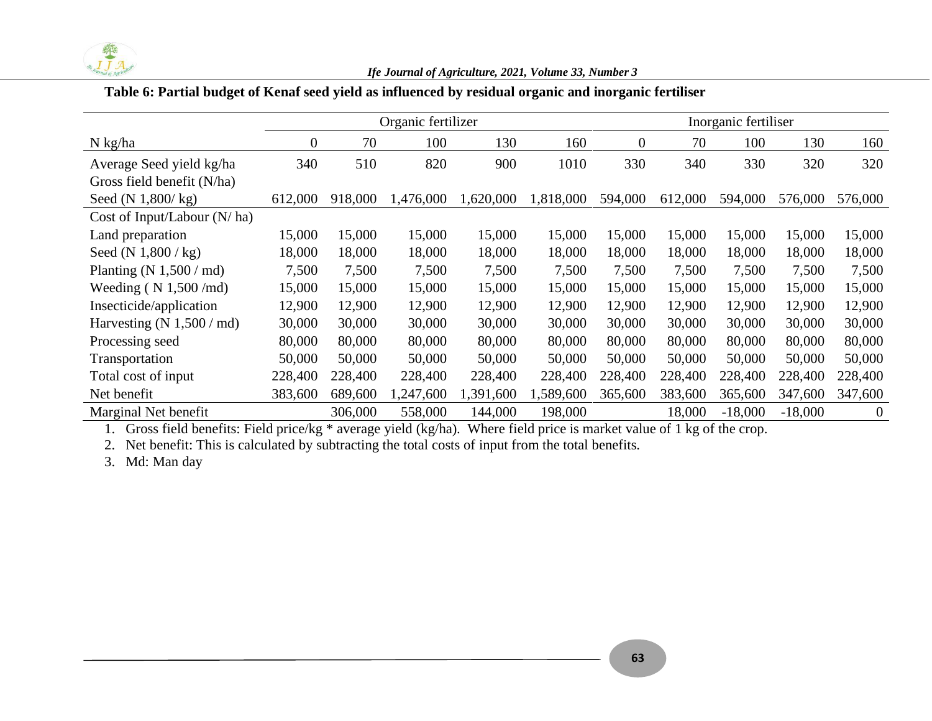

#### *Ife Journal of Agriculture, 2021, Volume 33, Number 3*

#### **Table 6: Partial budget of Kenaf seed yield as influenced by residual organic and inorganic fertiliser**

|                                    |                  |         | Organic fertilizer |           | Inorganic fertiliser |                  |         |           |           |                |
|------------------------------------|------------------|---------|--------------------|-----------|----------------------|------------------|---------|-----------|-----------|----------------|
| $N$ kg/ha                          | $\boldsymbol{0}$ | 70      | 100                | 130       | 160                  | $\boldsymbol{0}$ | 70      | 100       | 130       | 160            |
| Average Seed yield kg/ha           | 340              | 510     | 820                | 900       | 1010                 | 330              | 340     | 330       | 320       | 320            |
| Gross field benefit (N/ha)         |                  |         |                    |           |                      |                  |         |           |           |                |
| Seed $(N \ 1,800/kg)$              | 612,000          | 918,000 | ,476,000           | 1,620,000 | 1,818,000            | 594,000          | 612,000 | 594,000   | 576,000   | 576,000        |
| Cost of Input/Labour $(N/ha)$      |                  |         |                    |           |                      |                  |         |           |           |                |
| Land preparation                   | 15,000           | 15,000  | 15,000             | 15,000    | 15,000               | 15,000           | 15,000  | 15,000    | 15,000    | 15,000         |
| Seed (N $1,800$ / kg)              | 18,000           | 18,000  | 18,000             | 18,000    | 18,000               | 18,000           | 18,000  | 18,000    | 18,000    | 18,000         |
| Planting $(N 1,500 / \text{md})$   | 7,500            | 7,500   | 7,500              | 7,500     | 7,500                | 7,500            | 7,500   | 7,500     | 7,500     | 7,500          |
| Weeding $(N 1,500/mol)$            | 15,000           | 15,000  | 15,000             | 15,000    | 15,000               | 15,000           | 15,000  | 15,000    | 15,000    | 15,000         |
| Insecticide/application            | 12,900           | 12,900  | 12,900             | 12,900    | 12,900               | 12,900           | 12,900  | 12,900    | 12,900    | 12,900         |
| Harvesting $(N 1,500 / \text{md})$ | 30,000           | 30,000  | 30,000             | 30,000    | 30,000               | 30,000           | 30,000  | 30,000    | 30,000    | 30,000         |
| Processing seed                    | 80,000           | 80,000  | 80,000             | 80,000    | 80,000               | 80,000           | 80,000  | 80,000    | 80,000    | 80,000         |
| Transportation                     | 50,000           | 50,000  | 50,000             | 50,000    | 50,000               | 50,000           | 50,000  | 50,000    | 50,000    | 50,000         |
| Total cost of input                | 228,400          | 228,400 | 228,400            | 228,400   | 228,400              | 228,400          | 228,400 | 228,400   | 228,400   | 228,400        |
| Net benefit                        | 383,600          | 689,600 | ,247,600           | 1,391,600 | ,589,600             | 365,600          | 383,600 | 365,600   | 347,600   | 347,600        |
| Marginal Net benefit               |                  | 306,000 | 558,000            | 144,000   | 198,000              |                  | 18,000  | $-18,000$ | $-18,000$ | $\overline{0}$ |

1. Gross field benefits: Field price/kg \* average yield (kg/ha). Where field price is market value of 1 kg of the crop.

2. Net benefit: This is calculated by subtracting the total costs of input from the total benefits.

3. Md: Man day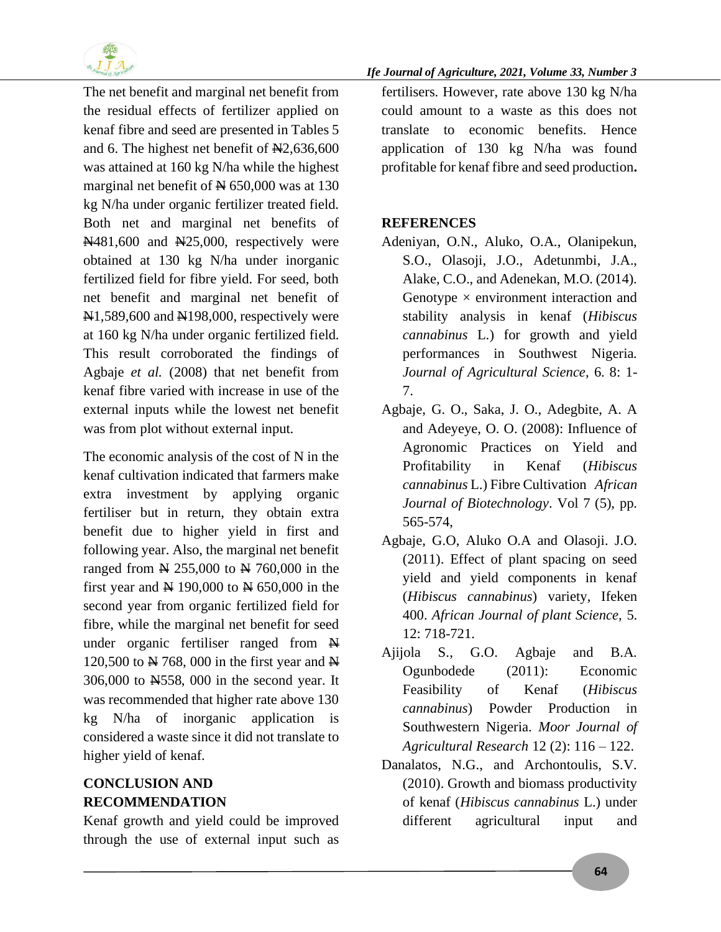

The net benefit and marginal net benefit from the residual effects of fertilizer applied on kenaf fibre and seed are presented in Tables 5 and 6. The highest net benefit of  $\mathbb{N}2,636,600$ was attained at 160 kg N/ha while the highest marginal net benefit of  $\cancel{\text{N}}$  650,000 was at 130 kg N/ha under organic fertilizer treated field. Both net and marginal net benefits of N481,600 and N25,000, respectively were obtained at 130 kg N/ha under inorganic fertilized field for fibre yield. For seed, both net benefit and marginal net benefit of  $\text{N1},589,600$  and  $\text{N198},000$ , respectively were at 160 kg N/ha under organic fertilized field. This result corroborated the findings of Agbaje *et al.* (2008) that net benefit from kenaf fibre varied with increase in use of the external inputs while the lowest net benefit was from plot without external input.

The economic analysis of the cost of N in the kenaf cultivation indicated that farmers make extra investment by applying organic fertiliser but in return, they obtain extra benefit due to higher yield in first and following year. Also, the marginal net benefit ranged from  $\cancel{\text{N}}$  255,000 to  $\cancel{\text{N}}$  760,000 in the first year and  $\cancel{\text{N}}$  190,000 to  $\cancel{\text{N}}$  650,000 in the second year from organic fertilized field for fibre, while the marginal net benefit for seed under organic fertiliser ranged from  $\mathbb{H}$ 120,500 to  $\cancel{\text{N}}$  768, 000 in the first year and  $\cancel{\text{N}}$ 306,000 to N558, 000 in the second year. It was recommended that higher rate above 130 kg N/ha of inorganic application is considered a waste since it did not translate to higher yield of kenaf.

# **CONCLUSION AND RECOMMENDATION**

Kenaf growth and yield could be improved through the use of external input such as

#### *Ife Journal of Agriculture, 2021, Volume 33, Number 3*

fertilisers. However, rate above 130 kg N/ha could amount to a waste as this does not translate to economic benefits. Hence application of 130 kg N/ha was found profitable for kenaf fibre and seed production**.** 

#### **REFERENCES**

- Adeniyan, O.N., Aluko, O.A., Olanipekun, S.O., Olasoji, J.O., Adetunmbi, J.A., Alake, C.O., and Adenekan, M.O. (2014). Genotype  $\times$  environment interaction and stability analysis in kenaf (*Hibiscus cannabinus* L.) for growth and yield performances in Southwest Nigeria. *Journal of Agricultural Science*, 6. 8: 1- 7.
- Agbaje, G. O., Saka, J. O., Adegbite, A. A and Adeyeye, O. O. (2008): Influence of Agronomic Practices on Yield and Profitability in Kenaf (*Hibiscus cannabinus* L.) Fibre Cultivation *African Journal of Biotechnology*. Vol 7 (5), pp. 565-574,
- Agbaje, G.O, Aluko O.A and Olasoji. J.O. (2011). Effect of plant spacing on seed yield and yield components in kenaf (*Hibiscus cannabinus*) variety, Ifeken 400. *African Journal of plant Science,* 5. 12: 718-721.
- Ajijola S., G.O. Agbaje and B.A. Ogunbodede (2011): Economic Feasibility of Kenaf (*Hibiscus cannabinus*) Powder Production in Southwestern Nigeria. *Moor Journal of Agricultural Research* 12 (2): 116 – 122.
- Danalatos, N.G., and Archontoulis, S.V. (2010). Growth and biomass productivity of kenaf (*Hibiscus cannabinus* L.) under different agricultural input and